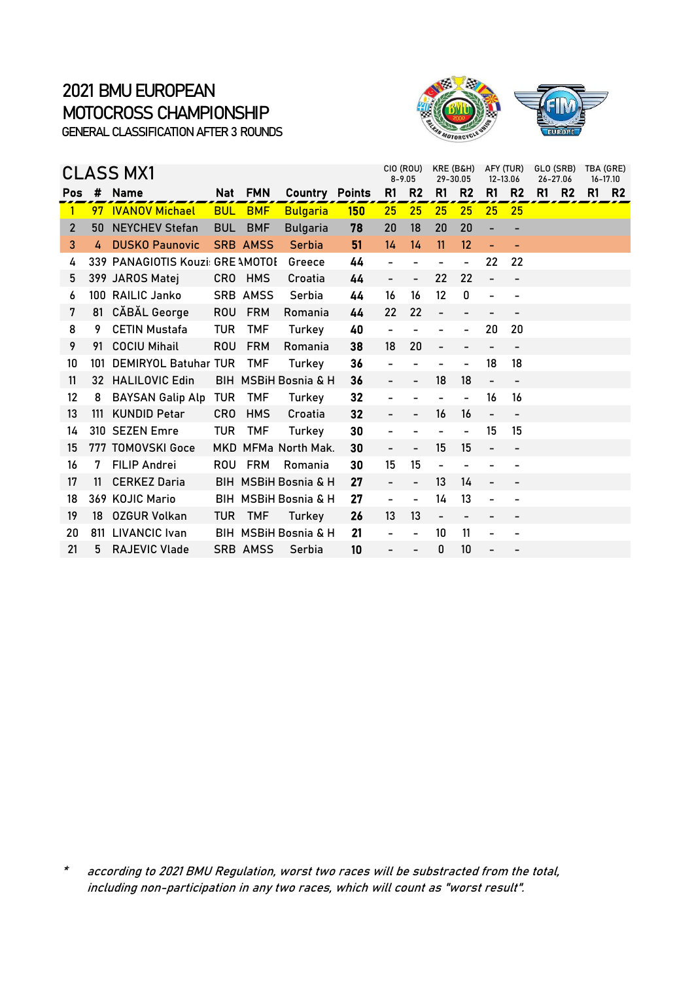

|                |     | <b>CLASS MX1</b>                 |                 |                 |                      |               | CIO (ROU)<br>$8 - 9.05$  |                          | KRE (B&H)<br>29-30.05 |                          | AFY (TUR)<br>12-13.06        |                          | GLO (SRB)<br>26-27.06 | TBA (GRE) | 16-17.10  |
|----------------|-----|----------------------------------|-----------------|-----------------|----------------------|---------------|--------------------------|--------------------------|-----------------------|--------------------------|------------------------------|--------------------------|-----------------------|-----------|-----------|
| <b>Pos</b>     | #   | <b>Name</b>                      |                 | Nat FMN         | Country              | <b>Points</b> | R1                       | R <sub>2</sub>           | R1                    | R <sub>2</sub>           | R <sub>1</sub>               | R <sub>2</sub>           | R1<br>R <sub>2</sub>  | R1        | <b>R2</b> |
| 1              | 97  | <b>IVANOV Michael</b>            | <b>BUL</b>      | <b>BMF</b>      | <b>Bulgaria</b>      | 150           | 25                       | 25                       | 25                    | 25                       | 25                           | 25                       |                       |           |           |
| $\overline{2}$ | 50  | <b>NEYCHEV Stefan</b>            | <b>BUL</b>      | <b>BMF</b>      | <b>Bulgaria</b>      | 78            | 20                       | 18                       | 20                    | 20                       | $\overline{\phantom{0}}$     |                          |                       |           |           |
| 3              | 4   | <b>DUSKO Paunovic</b>            |                 | <b>SRB AMSS</b> | Serbia               | 51            | 14                       | 14                       | 11                    | $12 \overline{ }$        |                              |                          |                       |           |           |
| 4              |     | 339 PANAGIOTIS Kouzi: GRE AMOTOI |                 |                 | Greece               | 44            |                          |                          |                       |                          | 22                           | 22                       |                       |           |           |
| 5              |     | 399 JAROS Matej                  | CR <sub>0</sub> | HMS             | Croatia              | 44            |                          | $\overline{\phantom{0}}$ | 22                    | 22                       |                              |                          |                       |           |           |
| 6              |     | 100 RAILIC Janko                 |                 | SRB AMSS        | Serbia               | 44            | 16                       | 16                       | 12                    | 0                        | $\overline{a}$               |                          |                       |           |           |
| 7              | 81  | CĂBĂL George                     | <b>ROU</b>      | <b>FRM</b>      | Romania              | 44            | 22                       | 22                       |                       |                          |                              |                          |                       |           |           |
| 8              | 9   | <b>CETIN Mustafa</b>             | <b>TUR</b>      | <b>TMF</b>      | Turkey               | 40            |                          |                          |                       |                          | 20                           | 20                       |                       |           |           |
| 9              | 91  | <b>COCIU Mihail</b>              | <b>ROU</b>      | <b>FRM</b>      | Romania              | 38            | 18                       | 20                       |                       |                          |                              |                          |                       |           |           |
| 10             | 101 | <b>DEMIRYOL Batuhar TUR</b>      |                 | <b>TMF</b>      | Turkey               | 36            |                          |                          |                       |                          | 18                           | 18                       |                       |           |           |
| 11             |     | 32 HALILOVIC Edin                |                 |                 | BIH MSBIH Bosnia & H | 36            |                          |                          | 18                    | 18                       | $\qquad \qquad \blacksquare$ |                          |                       |           |           |
| 12             | 8   | <b>BAYSAN Galip Alp</b>          | <b>TUR</b>      | <b>TMF</b>      | Turkey               | 32            |                          |                          |                       | $\overline{a}$           | 16                           | 16                       |                       |           |           |
| 13             | 111 | <b>KUNDID Petar</b>              | <b>CRO</b>      | <b>HMS</b>      | Croatia              | 32            |                          |                          | 16                    | 16                       | $\overline{a}$               | $\overline{\phantom{a}}$ |                       |           |           |
| 14             |     | 310 SEZEN Emre                   | TUR             | <b>TMF</b>      | Turkey               | 30            |                          |                          |                       | $\overline{\phantom{0}}$ | 15                           | 15                       |                       |           |           |
| 15             |     | 777 TOMOVSKI Goce                |                 |                 | MKD MFMa North Mak.  | 30            |                          |                          | 15                    | 15                       | $\overline{a}$               |                          |                       |           |           |
| 16             | 7   | <b>FILIP Andrei</b>              | <b>ROU</b>      | <b>FRM</b>      | Romania              | 30            | 15                       | 15                       |                       |                          |                              |                          |                       |           |           |
| 17             | 11  | <b>CERKEZ Daria</b>              |                 |                 | BIH MSBIH Bosnia & H | 27            |                          |                          | 13                    | 14                       | $\qquad \qquad -$            |                          |                       |           |           |
| 18             |     | 369 KOJIC Mario                  |                 |                 | BIH MSBIH Bosnia & H | 27            | $\overline{\phantom{0}}$ | $\overline{\phantom{0}}$ | 14                    | 13                       | $\qquad \qquad \blacksquare$ |                          |                       |           |           |
| 19             | 18  | <b>OZGUR Volkan</b>              | <b>TUR</b>      | <b>TMF</b>      | Turkey               | 26            | 13                       | 13                       | $\qquad \qquad -$     | -                        | $\qquad \qquad \blacksquare$ |                          |                       |           |           |
| 20             | 811 | <b>LIVANCIC</b> Ivan             |                 |                 | BIH MSBIH Bosnia & H | 21            |                          |                          | 10                    | 11                       | $\overline{\phantom{0}}$     |                          |                       |           |           |
| 21             | 5   | <b>RAJEVIC Vlade</b>             |                 | <b>SRB AMSS</b> | Serbia               | 10            |                          |                          | 0                     | 10                       |                              |                          |                       |           |           |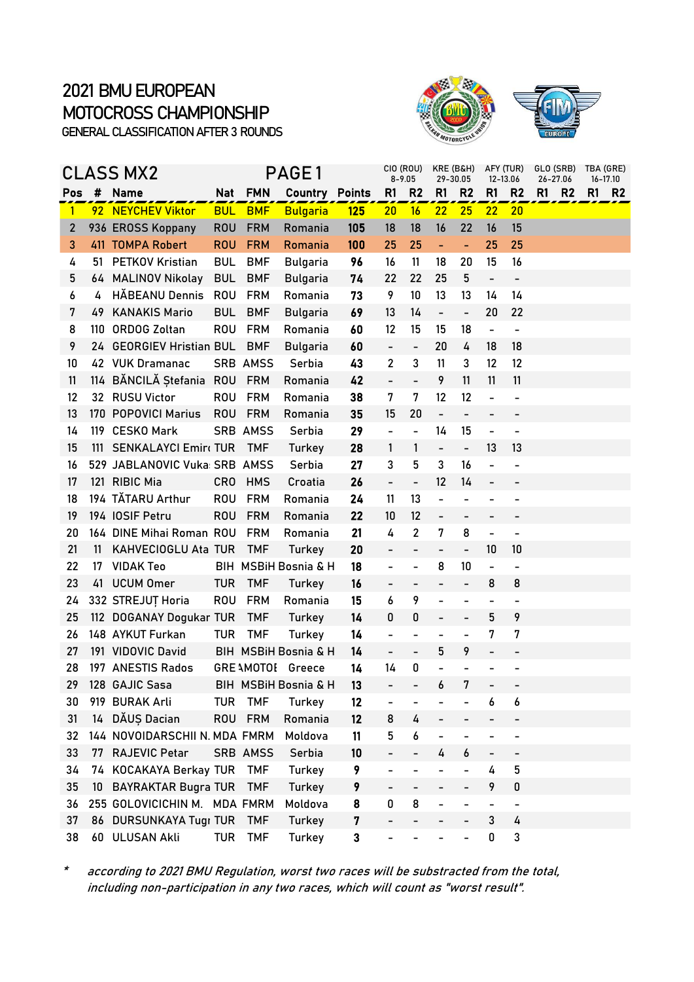



|                |    | CLASS MX2                     |                 |                 | PAGE1                           |               |                          | CIO (ROU)<br>$8 - 9.05$  | KRE (B&H)<br>29-30.05        |                          | AFY (TUR)<br>12-13.06    |                              | GLO (SRB)<br>26-27.06 |           | TBA (GRE)<br>16-17.10 |
|----------------|----|-------------------------------|-----------------|-----------------|---------------------------------|---------------|--------------------------|--------------------------|------------------------------|--------------------------|--------------------------|------------------------------|-----------------------|-----------|-----------------------|
| Pos            | #  | Name                          |                 | Nat FMN         | Country                         | <b>Points</b> | R <sub>1</sub>           | R <sub>2</sub>           | R1                           | R <sub>2</sub>           | R1                       | R <sub>2</sub>               | R1                    | <b>R2</b> | <b>R1 R2</b>          |
| $\mathbf{1}$   |    | 92 NEYCHEV Viktor             | <b>BUL</b>      | <b>BMF</b>      | <b>Bulgaria</b>                 | 125           | 20                       | 16                       | 22                           | 25                       | 22                       | 20                           |                       |           |                       |
| $\overline{2}$ |    | 936 EROSS Koppany             | <b>ROU</b>      | <b>FRM</b>      | Romania                         | 105           | 18                       | 18                       | 16                           | 22                       | 16                       | 15                           |                       |           |                       |
| 3              |    | 411 TOMPA Robert              | <b>ROU</b>      | <b>FRM</b>      | Romania                         | 100           | 25                       | 25                       | $\blacksquare$               | $\blacksquare$           | 25                       | 25                           |                       |           |                       |
| 4              | 51 | <b>PETKOV Kristian</b>        | <b>BUL</b>      | <b>BMF</b>      | <b>Bulgaria</b>                 | 96            | 16                       | 11                       | 18                           | 20                       | 15                       | 16                           |                       |           |                       |
| 5              |    | 64 MALINOV Nikolay            | <b>BUL</b>      | <b>BMF</b>      | <b>Bulgaria</b>                 | 74            | 22                       | 22                       | 25                           | 5                        | $\qquad \qquad -$        | $\overline{\phantom{0}}$     |                       |           |                       |
| 6              | 4  | HĂBEANU Dennis                | <b>ROU</b>      | <b>FRM</b>      | Romania                         | 73            | 9                        | 10                       | 13                           | 13                       | 14                       | 14                           |                       |           |                       |
| 7              | 49 | <b>KANAKIS Mario</b>          | <b>BUL</b>      | <b>BMF</b>      | <b>Bulgaria</b>                 | 69            | 13                       | 14                       | $\qquad \qquad \blacksquare$ | $\blacksquare$           | 20                       | 22                           |                       |           |                       |
| 8              |    | 110 ORDOG Zoltan              | <b>ROU</b>      | <b>FRM</b>      | Romania                         | 60            | 12                       | 15                       | 15                           | 18                       | $\blacksquare$           | $\blacksquare$               |                       |           |                       |
| 9              |    | 24 GEORGIEV Hristian BUL      |                 | <b>BMF</b>      | <b>Bulgaria</b>                 | 60            | $\overline{\phantom{0}}$ | $\blacksquare$           | 20                           | 4                        | 18                       | 18                           |                       |           |                       |
| 10             |    | 42 VUK Dramanac               |                 | <b>SRB AMSS</b> | Serbia                          | 43            | $\overline{2}$           | 3                        | 11                           | 3                        | 12                       | 12                           |                       |           |                       |
| 11             |    | 114 BĂNCILĂ Ștefania ROU      |                 | <b>FRM</b>      | Romania                         | 42            | $\overline{a}$           | $\frac{1}{2}$            | 9                            | 11                       | 11                       | 11                           |                       |           |                       |
| 12             |    | 32 RUSU Victor                | <b>ROU</b>      | <b>FRM</b>      | Romania                         | 38            | 7                        | 7                        | 12                           | 12                       | $\overline{a}$           | $\overline{\phantom{0}}$     |                       |           |                       |
| 13             |    | 170 POPOVICI Marius           | <b>ROU</b>      | <b>FRM</b>      | Romania                         | 35            | 15                       | 20                       | $\overline{\phantom{0}}$     | $\overline{\phantom{0}}$ | $\overline{\phantom{0}}$ | $\overline{\phantom{0}}$     |                       |           |                       |
| 14             |    | 119 CESKO Mark                |                 | <b>SRB AMSS</b> | Serbia                          | 29            | $\overline{\phantom{0}}$ | $\blacksquare$           | 14                           | 15                       | $\overline{\phantom{0}}$ | $\overline{a}$               |                       |           |                       |
| 15             |    | 111 SENKALAYCI Emir TUR       |                 | <b>TMF</b>      | Turkey                          | 28            | 1                        | $\mathbf{1}$             | $\overline{\phantom{0}}$     | $\overline{\phantom{0}}$ | 13                       | 13                           |                       |           |                       |
| 16             |    | 529 JABLANOVIC Vuka: SRB AMSS |                 |                 | Serbia                          | 27            | 3                        | 5                        | 3                            | 16                       | $\overline{a}$           |                              |                       |           |                       |
| 17             |    | 121 RIBIC Mia                 | CR <sub>0</sub> | <b>HMS</b>      | Croatia                         | 26            | $\qquad \qquad -$        | $\qquad \qquad -$        | 12                           | 14                       | $\overline{\phantom{0}}$ |                              |                       |           |                       |
| 18             |    | 194 TĂTARU Arthur             | <b>ROU</b>      | <b>FRM</b>      | Romania                         | 24            | 11                       | 13                       | $\overline{\phantom{0}}$     | $\overline{a}$           | $\overline{\phantom{0}}$ |                              |                       |           |                       |
| 19             |    | 194 IOSIF Petru               | <b>ROU</b>      | <b>FRM</b>      | Romania                         | 22            | 10                       | 12                       | $\overline{\phantom{0}}$     | $\overline{a}$           | -                        |                              |                       |           |                       |
| 20             |    | 164 DINE Mihai Roman ROU      |                 | <b>FRM</b>      | Romania                         | 21            | 4                        | $\overline{2}$           | $\overline{7}$               | 8                        | $\blacksquare$           | $\overline{\phantom{0}}$     |                       |           |                       |
| 21             | 11 | KAHVECIOGLU Ata TUR           |                 | <b>TMF</b>      | Turkey                          | 20            | $\overline{\phantom{0}}$ | -                        | -                            | $\qquad \qquad -$        | 10                       | 10                           |                       |           |                       |
| 22             | 17 | <b>VIDAK Teo</b>              |                 |                 | BIH MSBiH Bosnia & H            | 18            | $\overline{\phantom{0}}$ | $\overline{\phantom{0}}$ | 8                            | 10                       | $\blacksquare$           | $\overline{\phantom{a}}$     |                       |           |                       |
| 23             | 41 | <b>UCUM Omer</b>              | <b>TUR</b>      | <b>TMF</b>      | Turkey                          | 16            |                          | $\overline{\phantom{a}}$ |                              | $\overline{a}$           | 8                        | 8                            |                       |           |                       |
| 24             |    | 332 STREJUȚ Horia             | <b>ROU</b>      | <b>FRM</b>      | Romania                         | 15            | 6                        | 9                        | $\overline{\phantom{0}}$     | $\overline{a}$           | $\overline{\phantom{0}}$ | $\qquad \qquad \blacksquare$ |                       |           |                       |
| 25             |    | 112 DOGANAY Dogukar TUR       |                 | <b>TMF</b>      | Turkey                          | 14            | 0                        | 0                        | $\overline{a}$               | $\overline{\phantom{0}}$ | 5                        | 9                            |                       |           |                       |
| 26             |    | 148 AYKUT Furkan              | <b>TUR</b>      | <b>TMF</b>      | Turkey                          | 14            | $\overline{a}$           | $\overline{\phantom{0}}$ |                              |                          | 7                        | 7                            |                       |           |                       |
| 27             |    | 191 VIDOVIC David             |                 |                 | BIH MSBiH Bosnia & H            | 14            | $\overline{\phantom{0}}$ | $\overline{\phantom{0}}$ | 5                            | 9                        | $\overline{\phantom{0}}$ | -                            |                       |           |                       |
| 28             |    | 197 ANESTIS Rados             |                 |                 | <b>GRE AMOTOI Greece</b>        | 14            | 14                       | $\pmb{0}$                |                              |                          |                          |                              |                       |           |                       |
| 29             |    | 128 GAJIC Sasa                |                 |                 | <b>BIH MSBIH Bosnia &amp; H</b> | 13            | $\overline{\phantom{a}}$ | -                        | 6                            | 7                        | -                        |                              |                       |           |                       |
| 30             |    | 919 BURAK Arli                | <b>TUR</b>      | <b>TMF</b>      | Turkey                          | 12            |                          |                          |                              |                          | 6                        | 6                            |                       |           |                       |
| 31             | 14 | DĂUȘ Dacian                   | <b>ROU</b>      | <b>FRM</b>      | Romania                         | 12            | 8                        | 4                        |                              |                          |                          |                              |                       |           |                       |
| 32             |    | 144 NOVOIDARSCHII N. MDA FMRM |                 |                 | Moldova                         | 11            | 5                        | 6                        | -                            | $\overline{\phantom{0}}$ | -                        | $\overline{\phantom{0}}$     |                       |           |                       |
| 33             | 77 | <b>RAJEVIC Petar</b>          |                 | SRB AMSS        | Serbia                          | 10            |                          | -                        | 4                            | 6                        | -                        |                              |                       |           |                       |
| 34             | 74 | KOCAKAYA Berkay TUR           |                 | <b>TMF</b>      | <b>Turkey</b>                   | 9             | -                        | $\overline{\phantom{0}}$ |                              |                          | 4                        | 5                            |                       |           |                       |
| 35             | 10 | <b>BAYRAKTAR Bugra TUR</b>    |                 | <b>TMF</b>      | Turkey                          | 9             |                          |                          |                              |                          | 9                        | 0                            |                       |           |                       |
| 36             |    | 255 GOLOVICICHIN M. MDA FMRM  |                 |                 | Moldova                         | 8             | 0                        | 8                        |                              | $\overline{a}$           | $\overline{\phantom{0}}$ | $\overline{\phantom{0}}$     |                       |           |                       |
| 37             | 86 | <b>DURSUNKAYA Tugr TUR</b>    |                 | <b>TMF</b>      | Turkey                          | 7             |                          |                          |                              |                          | $\sqrt{3}$               | 4                            |                       |           |                       |
| 38             |    | 60 ULUSAN Akli                | <b>TUR</b>      | <b>TMF</b>      | Turkey                          | 3             |                          |                          |                              |                          | $\pmb{0}$                | 3                            |                       |           |                       |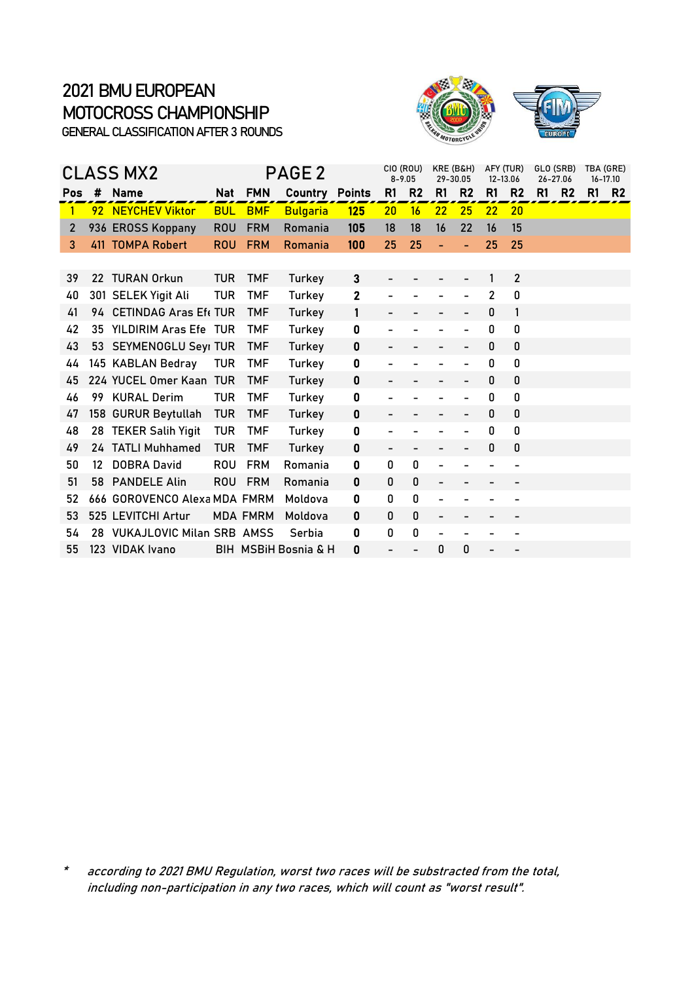

|     |                   | <b>CLASS MX2</b>             |            |                 | PAGE 2               |               | CIO (ROU)<br>$8 - 9.05$ |                | KRE (B&H)<br>29-30.05    |                          | AFY (TUR)<br>12-13.06 |                | GLO (SRB)<br>26-27.06 | TBA (GRE) | 16-17.10  |
|-----|-------------------|------------------------------|------------|-----------------|----------------------|---------------|-------------------------|----------------|--------------------------|--------------------------|-----------------------|----------------|-----------------------|-----------|-----------|
| Pos | #                 | <b>Name</b>                  | Nat        | <b>FMN</b>      | Country              | <b>Points</b> | R1                      | R <sub>2</sub> | R1                       | R <sub>2</sub>           | R1                    | R <sub>2</sub> | R1<br>R <sub>2</sub>  | R1        | <b>R2</b> |
| 1   |                   | 92 NEYCHEV Viktor            | <b>BUL</b> | <b>BMF</b>      | <b>Bulgaria</b>      | <b>125</b>    | 20                      | 16             | 22                       | 25                       | 22                    | 20             |                       |           |           |
| 2   |                   | 936 EROSS Koppany            | <b>ROU</b> | <b>FRM</b>      | Romania              | 105           | 18                      | 18             | 16                       | 22                       | 16                    | 15             |                       |           |           |
| 3   |                   | 411 TOMPA Robert             | <b>ROU</b> | <b>FRM</b>      | Romania              | 100           | 25                      | 25             |                          |                          | 25                    | 25             |                       |           |           |
| 39  |                   | 22 TURAN Orkun               | <b>TUR</b> | <b>TMF</b>      | Turkey               | $\mathbf{3}$  |                         |                |                          |                          | 1                     | $\overline{2}$ |                       |           |           |
| 40  |                   | 301 SELEK Yigit Ali          | <b>TUR</b> | <b>TMF</b>      | Turkey               | $\mathbf{2}$  |                         |                |                          |                          | $\overline{2}$        | 0              |                       |           |           |
| 41  |                   | 94 CETINDAG Aras Eft TUR     |            | <b>TMF</b>      | Turkey               | 1             |                         |                |                          |                          | 0                     | 1              |                       |           |           |
| 42  |                   | 35 YILDIRIM Aras Efe TUR     |            | <b>TMF</b>      | Turkey               | 0             |                         |                |                          |                          | 0                     | 0              |                       |           |           |
| 43  |                   | 53 SEYMENOGLU Seyi TUR       |            | <b>TMF</b>      | Turkey               | 0             |                         |                |                          | $\overline{\phantom{0}}$ | 0                     | 0              |                       |           |           |
| 44  |                   | 145 KABLAN Bedray            | <b>TUR</b> | <b>TMF</b>      | Turkey               | 0             |                         |                |                          |                          | 0                     | 0              |                       |           |           |
| 45  |                   | 224 YUCEL Omer Kaan TUR      |            | <b>TMF</b>      | Turkey               | 0             |                         |                |                          |                          | 0                     | 0              |                       |           |           |
| 46  | 99                | <b>KURAL Derim</b>           | TUR        | <b>TMF</b>      | Turkey               | 0             |                         |                |                          |                          | 0                     | 0              |                       |           |           |
| 47  |                   | 158 GURUR Beytullah          | <b>TUR</b> | <b>TMF</b>      | Turkey               | 0             |                         |                |                          |                          | 0                     | 0              |                       |           |           |
| 48  |                   | 28 TEKER Salih Yigit         | <b>TUR</b> | <b>TMF</b>      | Turkey               | 0             |                         |                |                          |                          | 0                     | 0              |                       |           |           |
| 49  |                   | 24 TATLI Muhhamed            | <b>TUR</b> | <b>TMF</b>      | Turkey               | 0             |                         |                |                          |                          | 0                     | 0              |                       |           |           |
| 50  | $12 \overline{ }$ | <b>DOBRA David</b>           | <b>ROU</b> | <b>FRM</b>      | Romania              | 0             | 0                       | $\mathbf 0$    |                          |                          |                       |                |                       |           |           |
| 51  |                   | 58 PANDELE Alin              | <b>ROU</b> | <b>FRM</b>      | Romania              | 0             | 0                       | $\pmb{0}$      |                          |                          |                       |                |                       |           |           |
| 52  |                   | 666 GOROVENCO Alexa MDA FMRM |            |                 | Moldova              | 0             | 0                       | 0              |                          |                          |                       |                |                       |           |           |
| 53  |                   | 525 LEVITCHI Artur           |            | <b>MDA FMRM</b> | Moldova              | 0             | 0                       | $\pmb{0}$      | $\overline{\phantom{0}}$ |                          | -                     |                |                       |           |           |
| 54  |                   | 28 VUKAJLOVIC Milan SRB AMSS |            |                 | Serbia               | 0             | 0                       | 0              |                          |                          |                       |                |                       |           |           |
| 55  |                   | 123 VIDAK Ivano              |            |                 | BIH MSBIH Bosnia & H | 0             |                         |                | 0                        | 0                        |                       |                |                       |           |           |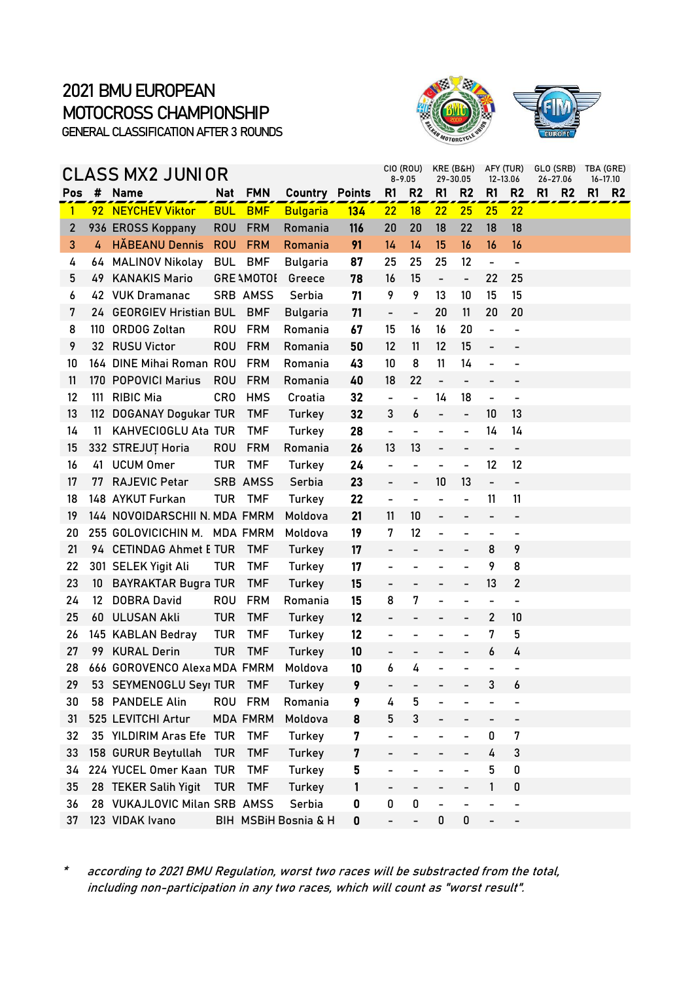



|                |                   | CLASS MX2 JUNIOR              |            |                   |                       |     |                          | CIO (ROU)<br>$8 - 9.05$      | KRE (B&H)<br>29-30.05        |                          |                              | AFY (TUR)<br>12-13.06        | GLO (SRB)<br>26-27.06 |                | TBA (GRE)<br>16-17.10 |                |
|----------------|-------------------|-------------------------------|------------|-------------------|-----------------------|-----|--------------------------|------------------------------|------------------------------|--------------------------|------------------------------|------------------------------|-----------------------|----------------|-----------------------|----------------|
| Pos            | #                 | <b>Name</b>                   | <b>Nat</b> | <b>FMN</b>        | <b>Country Points</b> |     | R1                       | R <sub>2</sub>               | R1                           | R <sub>2</sub>           | R1                           | R <sub>2</sub>               | R1                    | R <sub>2</sub> | R1                    | R <sub>2</sub> |
| $\mathbf{1}$   |                   | 92 NEYCHEV Viktor             | <b>BUL</b> | <b>BMF</b>        | <b>Bulgaria</b>       | 134 | 22                       | 18                           | 22                           | 25                       | 25                           | 22                           |                       |                |                       |                |
| $\overline{2}$ |                   | 936 EROSS Koppany             | <b>ROU</b> | <b>FRM</b>        | Romania               | 116 | 20                       | 20                           | 18                           | 22                       | 18                           | 18                           |                       |                |                       |                |
| 3              | 4                 | <b>HĂBEANU Dennis</b>         | <b>ROU</b> | <b>FRM</b>        | Romania               | 91  | 14                       | 14                           | 15                           | 16                       | 16                           | 16                           |                       |                |                       |                |
| 4              | 64.               | <b>MALINOV Nikolay</b>        | <b>BUL</b> | <b>BMF</b>        | <b>Bulgaria</b>       | 87  | 25                       | 25                           | 25                           | 12                       | $\qquad \qquad \blacksquare$ | $\overline{\phantom{a}}$     |                       |                |                       |                |
| 5              | 49.               | <b>KANAKIS Mario</b>          |            | <b>GRE AMOTOL</b> | Greece                | 78  | 16                       | 15                           | $\overline{\phantom{0}}$     | $\overline{\phantom{a}}$ | 22                           | 25                           |                       |                |                       |                |
| 6              |                   | 42 VUK Dramanac               |            | SRB AMSS          | Serbia                | 71  | 9                        | 9                            | 13                           | 10                       | 15                           | 15                           |                       |                |                       |                |
| 7              |                   | 24 GEORGIEV Hristian BUL      |            | <b>BMF</b>        | <b>Bulgaria</b>       | 71  | $\frac{1}{2}$            | $\overline{\phantom{a}}$     | 20                           | 11                       | 20                           | 20                           |                       |                |                       |                |
| 8              | 110               | <b>ORDOG Zoltan</b>           | ROU        | <b>FRM</b>        | Romania               | 67  | 15                       | 16                           | 16                           | 20                       | $\overline{a}$               | $\overline{\phantom{0}}$     |                       |                |                       |                |
| 9              | 32                | <b>RUSU Victor</b>            | <b>ROU</b> | <b>FRM</b>        | Romania               | 50  | 12                       | 11                           | 12                           | 15                       | $\overline{\phantom{0}}$     |                              |                       |                |                       |                |
| 10             |                   | 164 DINE Mihai Roman ROU      |            | <b>FRM</b>        | Romania               | 43  | 10                       | 8                            | 11                           | 14                       | $\blacksquare$               | $\qquad \qquad \blacksquare$ |                       |                |                       |                |
| 11             |                   | 170 POPOVICI Marius           | <b>ROU</b> | <b>FRM</b>        | Romania               | 40  | 18                       | 22                           | $\qquad \qquad \blacksquare$ | $\overline{\phantom{a}}$ |                              |                              |                       |                |                       |                |
| 12             | 111               | <b>RIBIC Mia</b>              | <b>CRO</b> | <b>HMS</b>        | Croatia               | 32  | $\frac{1}{2}$            | $\blacksquare$               | 14                           | 18                       | $\qquad \qquad \blacksquare$ | $\qquad \qquad \blacksquare$ |                       |                |                       |                |
| 13             | 112               | <b>DOGANAY Dogukar TUR</b>    |            | <b>TMF</b>        | Turkey                | 32  | 3                        | 6                            | $\overline{a}$               | $\blacksquare$           | 10                           | 13                           |                       |                |                       |                |
| 14             | 11                | KAHVECIOGLU Ata TUR           |            | <b>TMF</b>        | Turkey                | 28  | $\overline{\phantom{0}}$ | $\overline{a}$               | -                            | $\overline{\phantom{0}}$ | 14                           | 14                           |                       |                |                       |                |
| 15             |                   | 332 STREJUT Horia             | <b>ROU</b> | <b>FRM</b>        | Romania               | 26  | 13                       | 13                           | $\overline{a}$               |                          | $\qquad \qquad \blacksquare$ | $\overline{\phantom{0}}$     |                       |                |                       |                |
| 16             | 41                | <b>UCUM Omer</b>              | <b>TUR</b> | <b>TMF</b>        | Turkey                | 24  | $\overline{\phantom{0}}$ |                              | $\overline{\phantom{0}}$     | $\blacksquare$           | 12                           | 12                           |                       |                |                       |                |
| 17             | 77                | <b>RAJEVIC Petar</b>          |            | SRB AMSS          | Serbia                | 23  | $\overline{\phantom{0}}$ | $\overline{\phantom{a}}$     | 10                           | 13                       | $\qquad \qquad -$            | $\overline{\phantom{0}}$     |                       |                |                       |                |
| 18             |                   | 148 AYKUT Furkan              | <b>TUR</b> | TMF               | Turkey                | 22  | $\overline{\phantom{0}}$ | $\overline{\phantom{a}}$     | -                            | $\overline{\phantom{0}}$ | 11                           | 11                           |                       |                |                       |                |
| 19             |                   | 144 NOVOIDARSCHII N. MDA FMRM |            |                   | Moldova               | 21  | 11                       | 10                           | $\qquad \qquad \blacksquare$ | $\qquad \qquad -$        | $\overline{\phantom{a}}$     | $\qquad \qquad \blacksquare$ |                       |                |                       |                |
| 20             |                   | 255 GOLOVICICHIN M. MDA FMRM  |            |                   | Moldova               | 19  | 7                        | 12                           | $\overline{a}$               |                          |                              |                              |                       |                |                       |                |
| 21             |                   | 94 CETINDAG Ahmet E TUR       |            | <b>TMF</b>        | Turkey                | 17  |                          |                              | -                            | $\qquad \qquad -$        | 8                            | 9                            |                       |                |                       |                |
| 22             |                   | 301 SELEK Yigit Ali           | <b>TUR</b> | <b>TMF</b>        | Turkey                | 17  | $\overline{\phantom{0}}$ |                              |                              |                          | 9                            | 8                            |                       |                |                       |                |
| 23             | 10                | <b>BAYRAKTAR Bugra TUR</b>    |            | <b>TMF</b>        | Turkey                | 15  |                          |                              |                              | $\qquad \qquad -$        | 13                           | $\mathbf{2}$                 |                       |                |                       |                |
| 24             | $12 \overline{ }$ | <b>DOBRA David</b>            | ROU        | <b>FRM</b>        | Romania               | 15  | 8                        | 7                            | $\overline{a}$               | $\overline{a}$           | $\overline{\phantom{a}}$     | $\overline{\phantom{a}}$     |                       |                |                       |                |
| 25             | 60                | <b>ULUSAN Akli</b>            | <b>TUR</b> | <b>TMF</b>        | Turkey                | 12  |                          |                              |                              |                          | 2                            | 10                           |                       |                |                       |                |
| 26             |                   | 145 KABLAN Bedray             | <b>TUR</b> | <b>TMF</b>        | Turkey                | 12  | -                        | $\qquad \qquad \blacksquare$ | -                            | $\overline{\phantom{0}}$ | 7                            | 5                            |                       |                |                       |                |
| 27             | 99                | <b>KURAL Derin</b>            | <b>TUR</b> | <b>TMF</b>        | Turkey                | 10  |                          |                              | $\overline{\phantom{0}}$     | $\qquad \qquad -$        | 6                            | 4                            |                       |                |                       |                |
| 28             |                   | 666 GOROVENCO Alexa MDA FMRM  |            |                   | Moldova               | 10  | 6                        | 4                            |                              |                          |                              |                              |                       |                |                       |                |
| 29             |                   | 53 SEYMENOGLU Seyi TUR TMF    |            |                   | <b>Turkey</b>         | 9   |                          |                              |                              |                          | 3                            | 6                            |                       |                |                       |                |
| 30             |                   | 58 PANDELE Alin               |            | ROU FRM           | Romania               | 9   | 4                        | 5                            |                              |                          |                              |                              |                       |                |                       |                |
| 31             |                   | 525 LEVITCHI Artur            |            | <b>MDA FMRM</b>   | Moldova               | 8   | 5                        | 3                            |                              |                          | -                            | -                            |                       |                |                       |                |
| 32             |                   | 35 YILDIRIM Aras Efe TUR      |            | <b>TMF</b>        | Turkey                | 7   |                          |                              |                              |                          | 0                            | 7                            |                       |                |                       |                |
| 33             |                   | 158 GURUR Beytullah           | <b>TUR</b> | <b>TMF</b>        | <b>Turkey</b>         | 7   |                          |                              |                              |                          | 4                            | 3                            |                       |                |                       |                |
| 34             |                   | 224 YUCEL Omer Kaan TUR       |            | <b>TMF</b>        | Turkey                | 5   |                          |                              |                              |                          | 5                            | 0                            |                       |                |                       |                |
| 35             |                   | 28 TEKER Salih Yigit          | <b>TUR</b> | <b>TMF</b>        | Turkey                | 1   |                          |                              |                              |                          | 1                            | 0                            |                       |                |                       |                |
| 36             |                   | 28 VUKAJLOVIC Milan SRB AMSS  |            |                   | Serbia                | 0   | 0                        | 0                            | -                            |                          |                              | $\overline{\phantom{0}}$     |                       |                |                       |                |
| 37             |                   | 123 VIDAK Ivano               |            |                   | BIH MSBiH Bosnia & H  | 0   |                          |                              | 0                            | 0                        |                              |                              |                       |                |                       |                |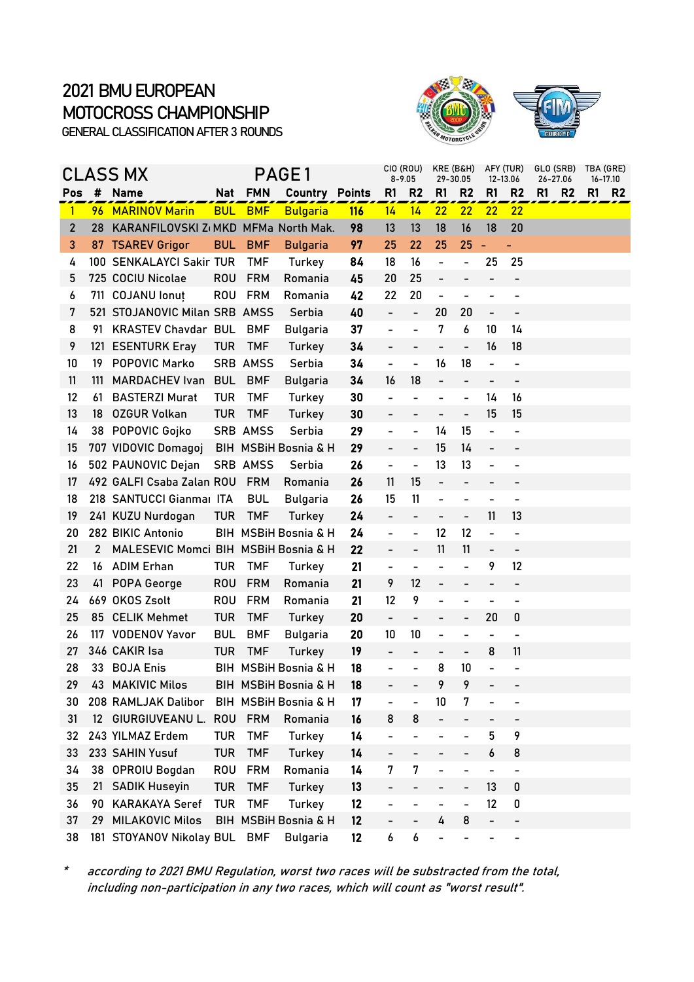



|                |                 | CLASS MX                             |            |            | PAGE1                           |     |                          | CIO (ROU)<br>$8 - 9.05$  | KRE (B&H)<br>29-30.05        |                          |                              | AFY (TUR)<br>12-13.06        | GLO (SRB)<br>26-27.06 |    | TBA (GRE)<br>16-17.10 |
|----------------|-----------------|--------------------------------------|------------|------------|---------------------------------|-----|--------------------------|--------------------------|------------------------------|--------------------------|------------------------------|------------------------------|-----------------------|----|-----------------------|
| Pos            | #               | <b>Name</b>                          |            | Nat FMN    | <b>Country Points</b>           |     | R1                       | R <sub>2</sub>           | R <sub>1</sub>               | R <sub>2</sub>           | R1                           | R <sub>2</sub>               | R1<br>R <sub>2</sub>  | R1 | R <sub>2</sub>        |
| $\mathbf{1}$   |                 | 96 MARINOV Marin                     | <b>BUL</b> | <b>BMF</b> | <b>Bulgaria</b>                 | 116 | 14                       | 14                       | 22                           | 22                       | 22                           | 22                           |                       |    |                       |
| $\overline{2}$ | 28              | KARANFILOVSKI Z(MKD MFMa North Mak.  |            |            |                                 | 98  | 13                       | 13                       | 18                           | 16                       | 18                           | 20                           |                       |    |                       |
| 3              | 87              | <b>TSAREV Grigor</b>                 | <b>BUL</b> | <b>BMF</b> | <b>Bulgaria</b>                 | 97  | 25                       | 22                       | 25                           | 25                       | ÷                            | ÷,                           |                       |    |                       |
| 4              |                 | 100 SENKALAYCI Sakir TUR             |            | <b>TMF</b> | Turkey                          | 84  | 18                       | 16                       | -                            | -                        | 25                           | 25                           |                       |    |                       |
| 5              |                 | 725 COCIU Nicolae                    | <b>ROU</b> | <b>FRM</b> | Romania                         | 45  | 20                       | 25                       | $\qquad \qquad -$            | $\overline{\phantom{0}}$ | -                            | $\overline{\phantom{a}}$     |                       |    |                       |
| 6              |                 | 711 COJANU lonut                     | <b>ROU</b> | <b>FRM</b> | Romania                         | 42  | 22                       | 20                       | $\qquad \qquad \blacksquare$ |                          |                              |                              |                       |    |                       |
| 7              |                 | 521 STOJANOVIC Milan SRB AMSS        |            |            | Serbia                          | 40  | $\overline{\phantom{0}}$ | $\overline{\phantom{0}}$ | 20                           | 20                       | $\overline{\phantom{0}}$     | $\overline{\phantom{a}}$     |                       |    |                       |
| 8              | 91              | <b>KRASTEV Chavdar BUL</b>           |            | <b>BMF</b> | <b>Bulgaria</b>                 | 37  |                          | $\overline{a}$           | 7                            | 6                        | 10                           | 14                           |                       |    |                       |
| 9              |                 | 121 ESENTURK Eray                    | <b>TUR</b> | <b>TMF</b> | Turkey                          | 34  | $\overline{\phantom{0}}$ | $\overline{\phantom{0}}$ | $\overline{\phantom{a}}$     | $\overline{\phantom{0}}$ | 16                           | 18                           |                       |    |                       |
| 10             | 19              | POPOVIC Marko                        |            | SRB AMSS   | Serbia                          | 34  | $\overline{\phantom{0}}$ | $\blacksquare$           | 16                           | 18                       | $\blacksquare$               | $\overline{\phantom{a}}$     |                       |    |                       |
| 11             | 111             | <b>MARDACHEV Ivan</b>                | <b>BUL</b> | <b>BMF</b> | <b>Bulgaria</b>                 | 34  | 16                       | 18                       | $\overline{\phantom{0}}$     | $\overline{\phantom{0}}$ | $\qquad \qquad \blacksquare$ |                              |                       |    |                       |
| 12             | 61              | <b>BASTERZI Murat</b>                | <b>TUR</b> | <b>TMF</b> | Turkey                          | 30  | -                        | $\overline{\phantom{0}}$ | $\overline{\phantom{0}}$     | $\overline{\phantom{0}}$ | 14                           | 16                           |                       |    |                       |
| 13             | 18              | <b>OZGUR Volkan</b>                  | <b>TUR</b> | <b>TMF</b> | Turkey                          | 30  |                          |                          |                              | $\frac{1}{2}$            | 15                           | 15                           |                       |    |                       |
| 14             |                 | 38 POPOVIC Gojko                     |            | SRB AMSS   | Serbia                          | 29  | $\overline{\phantom{0}}$ | $\overline{\phantom{0}}$ | 14                           | 15                       | $\overline{a}$               |                              |                       |    |                       |
| 15             |                 | 707 VIDOVIC Domagoj                  |            |            | <b>BIH MSBIH Bosnia &amp; H</b> | 29  | $\overline{a}$           | $\overline{a}$           | 15                           | 14                       | $\overline{a}$               |                              |                       |    |                       |
| 16             |                 | 502 PAUNOVIC Dejan                   |            | SRB AMSS   | Serbia                          | 26  | $\overline{a}$           | $\overline{a}$           | 13                           | 13                       | $\overline{a}$               |                              |                       |    |                       |
| 17             |                 | 492 GALFI Csaba Zalan ROU            |            | <b>FRM</b> | Romania                         | 26  | 11                       | 15                       | $\qquad \qquad \blacksquare$ | $\overline{\phantom{0}}$ | $\overline{\phantom{0}}$     |                              |                       |    |                       |
| 18             |                 | 218 SANTUCCI Gianmal ITA             |            | <b>BUL</b> | Bulgaria                        | 26  | 15                       | 11                       | -                            |                          |                              |                              |                       |    |                       |
| 19             |                 | 241 KUZU Nurdogan                    | <b>TUR</b> | <b>TMF</b> | Turkey                          | 24  | $\overline{\phantom{0}}$ | -                        | $\overline{\phantom{a}}$     | $\overline{\phantom{0}}$ | 11                           | 13                           |                       |    |                       |
| 20             |                 | 282 BIKIC Antonio                    |            |            | BIH MSBIH Bosnia & H            | 24  | $\overline{a}$           | $\overline{\phantom{0}}$ | 12                           | 12                       | $\overline{a}$               |                              |                       |    |                       |
| 21             | 2               | MALESEVIC Momci BIH MSBiH Bosnia & H |            |            |                                 | 22  | $\overline{\phantom{0}}$ | $\overline{\phantom{0}}$ | 11                           | 11                       | $\overline{\phantom{0}}$     | $\overline{\phantom{a}}$     |                       |    |                       |
| 22             | 16              | <b>ADIM Erhan</b>                    | <b>TUR</b> | <b>TMF</b> | Turkey                          | 21  | $\overline{\phantom{0}}$ | $\overline{a}$           | $\overline{\phantom{0}}$     | $\overline{a}$           | 9                            | 12                           |                       |    |                       |
| 23             | 41              | POPA George                          | <b>ROU</b> | <b>FRM</b> | Romania                         | 21  | 9                        | 12                       |                              |                          | -                            |                              |                       |    |                       |
| 24             |                 | 669 OKOS Zsolt                       | <b>ROU</b> | <b>FRM</b> | Romania                         | 21  | 12                       | 9                        | $\overline{\phantom{0}}$     | $\overline{\phantom{0}}$ | $\overline{\phantom{0}}$     | $\overline{\phantom{a}}$     |                       |    |                       |
| 25             |                 | 85 CELIK Mehmet                      | <b>TUR</b> | <b>TMF</b> | Turkey                          | 20  | $\blacksquare$           | $\overline{\phantom{0}}$ |                              | $\overline{\phantom{0}}$ | 20                           | 0                            |                       |    |                       |
| 26             |                 | 117 VODENOV Yavor                    | <b>BUL</b> | <b>BMF</b> | <b>Bulgaria</b>                 | 20  | 10                       | 10                       | $\qquad \qquad \blacksquare$ | -                        | $\qquad \qquad \blacksquare$ | $\overline{\phantom{a}}$     |                       |    |                       |
| 27             |                 | 346 CAKIR Isa                        | <b>TUR</b> | <b>TMF</b> | Turkey                          | 19  |                          |                          |                              | $\overline{\phantom{0}}$ | 8                            | 11                           |                       |    |                       |
| 28             |                 | 33 BOJA Enis                         |            |            | BIH MSBiH Bosnia & H            | 18  |                          | $\overline{a}$           | 8                            | 10                       | $\overline{a}$               |                              |                       |    |                       |
| 29             |                 | 43 MAKIVIC Milos                     |            |            | BIH MSBiH Bosnia & H            | 18  |                          |                          | Q                            | 9                        |                              |                              |                       |    |                       |
| 30             |                 | 208 RAMLJAK Dalibor                  |            |            | BIH MSBiH Bosnia & H            | 17  |                          |                          | 10                           | 7                        |                              |                              |                       |    |                       |
| 31             | 12 <sup>2</sup> | GIURGIUVEANU L.                      | <b>ROU</b> | <b>FRM</b> | Romania                         | 16  | 8                        | 8                        | $\overline{\phantom{0}}$     |                          | -                            | -                            |                       |    |                       |
| 32             |                 | 243 YILMAZ Erdem                     | <b>TUR</b> | <b>TMF</b> | Turkey                          | 14  |                          |                          |                              |                          | 5                            | 9                            |                       |    |                       |
| 33             |                 | 233 SAHIN Yusuf                      | <b>TUR</b> | <b>TMF</b> | Turkey                          | 14  |                          |                          |                              |                          | 6                            | 8                            |                       |    |                       |
| 34             | 38              | <b>OPROIU Bogdan</b>                 | <b>ROU</b> | <b>FRM</b> | Romania                         | 14  | 7                        | 7                        |                              |                          | $\overline{a}$               | $\qquad \qquad \blacksquare$ |                       |    |                       |
| 35             | 21              | <b>SADIK Huseyin</b>                 | <b>TUR</b> | <b>TMF</b> | <b>Turkey</b>                   | 13  |                          |                          |                              | $\overline{\phantom{0}}$ | 13                           | 0                            |                       |    |                       |
| 36             | 90              | <b>KARAKAYA Seref</b>                | <b>TUR</b> | <b>TMF</b> | Turkey                          | 12  |                          | -                        |                              | $\overline{a}$           | 12                           | 0                            |                       |    |                       |
| 37             | 29              | <b>MILAKOVIC Milos</b>               |            |            | BIH MSBiH Bosnia & H            | 12  |                          |                          | 4                            | 8                        | $\overline{\phantom{0}}$     | -                            |                       |    |                       |
| 38             |                 | 181 STOYANOV Nikolay BUL             |            | <b>BMF</b> | <b>Bulgaria</b>                 | 12  | 6                        | 6                        | -                            |                          |                              | -                            |                       |    |                       |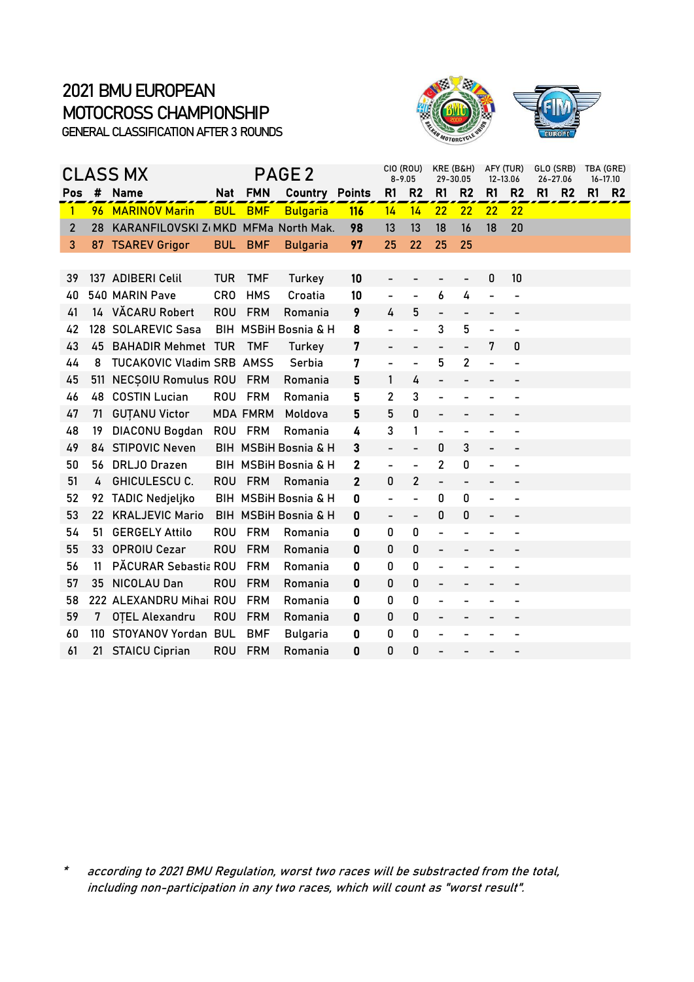

|                |     | CLASS MX                         |            |                 | PAGE 2                 |               |                          | CIO (ROU)<br>$8 - 9.05$  |                              | KRE (B&H)<br>29-30.05        |                              | AFY (TUR)<br>12-13.06        | GLO (SRB)<br>26-27.06 |    | TBA (GRE)<br>$16 - 17.10$ |
|----------------|-----|----------------------------------|------------|-----------------|------------------------|---------------|--------------------------|--------------------------|------------------------------|------------------------------|------------------------------|------------------------------|-----------------------|----|---------------------------|
| Pos            | #   | <b>Name</b>                      | <b>Nat</b> | <b>FMN</b>      | Country                | <b>Points</b> | R1                       | R <sub>2</sub>           | R1                           | R <sub>2</sub>               | R1                           | R <sub>2</sub>               | R1<br>R <sub>2</sub>  | R1 | R <sub>2</sub>            |
| 1              |     | 96 MARINOV Marin                 | <b>BUL</b> | <b>BMF</b>      | <b>Bulgaria</b>        | <b>116</b>    | 14                       | 14                       | 22                           | 22                           | 22                           | 22                           |                       |    |                           |
| $\overline{2}$ | 28  | KARANFILOVSKI Z(MKD              |            |                 | <b>MFMa North Mak.</b> | 98            | 13                       | 13                       | 18                           | 16                           | 18                           | 20                           |                       |    |                           |
| 3              |     | 87 TSAREV Grigor                 | <b>BUL</b> | <b>BMF</b>      | <b>Bulgaria</b>        | 97            | 25                       | 22                       | 25                           | 25                           |                              |                              |                       |    |                           |
|                |     |                                  |            |                 |                        |               |                          |                          |                              |                              |                              |                              |                       |    |                           |
| 39             |     | 137 ADIBERI Celil                | <b>TUR</b> | <b>TMF</b>      | Turkey                 | 10            | -                        |                          |                              | $\overline{\phantom{a}}$     | $\pmb{0}$                    | 10                           |                       |    |                           |
| 40             |     | 540 MARIN Pave                   | <b>CRO</b> | <b>HMS</b>      | Croatia                | 10            | $\overline{\phantom{0}}$ | $\blacksquare$           | 6                            | 4                            | $\overline{\phantom{0}}$     |                              |                       |    |                           |
| 41             |     | 14 VĂCARU Robert                 | <b>ROU</b> | <b>FRM</b>      | Romania                | 9             | 4                        | 5                        | $\overline{\phantom{0}}$     | $\qquad \qquad -$            | $\overline{\phantom{0}}$     |                              |                       |    |                           |
| 42             |     | 128 SOLAREVIC Sasa               |            |                 | BIH MSBIH Bosnia & H   | 8             | $\overline{\phantom{0}}$ |                          | 3                            | 5                            | $\overline{a}$               |                              |                       |    |                           |
| 43             | 45  | <b>BAHADIR Mehmet TUR</b>        |            | <b>TMF</b>      | Turkey                 | 7             | $\overline{\phantom{0}}$ | $\overline{a}$           |                              |                              | 7                            | 0                            |                       |    |                           |
| 44             | 8   | <b>TUCAKOVIC Vladim SRB AMSS</b> |            |                 | Serbia                 | 7             | $\overline{\phantom{0}}$ | $\overline{a}$           | 5                            | 2                            | $\overline{a}$               |                              |                       |    |                           |
| 45             |     | 511 NECSOIU Romulus ROU          |            | <b>FRM</b>      | Romania                | 5             | 1                        | 4                        |                              |                              |                              |                              |                       |    |                           |
| 46             | 48  | <b>COSTIN Lucian</b>             | <b>ROU</b> | <b>FRM</b>      | Romania                | 5             | 2                        | 3                        | $\overline{a}$               |                              |                              |                              |                       |    |                           |
| 47             | 71  | <b>GUTANU Victor</b>             |            | <b>MDA FMRM</b> | Moldova                | 5             | 5                        | 0                        |                              |                              |                              |                              |                       |    |                           |
| 48             | 19  | DIACONU Bogdan                   | <b>ROU</b> | <b>FRM</b>      | Romania                | 4             | 3                        | 1                        | $\qquad \qquad \blacksquare$ | $\blacksquare$               | $\overline{a}$               |                              |                       |    |                           |
| 49             |     | 84 STIPOVIC Neven                |            |                 | BIH MSBIH Bosnia & H   | 3             |                          |                          | 0                            | 3                            |                              |                              |                       |    |                           |
| 50             | 56  | <b>DRLJO Drazen</b>              |            |                 | BIH MSBiH Bosnia & H   | 2             | -                        | $\overline{a}$           | $\overline{2}$               | 0                            | $\overline{\phantom{0}}$     |                              |                       |    |                           |
| 51             | 4   | <b>GHICULESCU C.</b>             | <b>ROU</b> | <b>FRM</b>      | Romania                | 2             | 0                        | 2                        | $\overline{\phantom{0}}$     |                              |                              |                              |                       |    |                           |
| 52             | 92  | <b>TADIC Nedjeljko</b>           |            |                 | BIH MSBiH Bosnia & H   | $\mathbf{0}$  | $\overline{a}$           | $\overline{a}$           | 0                            | 0                            | $\overline{a}$               |                              |                       |    |                           |
| 53             | 22  | <b>KRALJEVIC Mario</b>           |            |                 | BIH MSBiH Bosnia & H   | 0             |                          | $\overline{\phantom{0}}$ | 0                            | 0                            |                              |                              |                       |    |                           |
| 54             | 51  | <b>GERGELY Attilo</b>            | <b>ROU</b> | <b>FRM</b>      | Romania                | 0             | 0                        | 0                        | $\overline{\phantom{0}}$     |                              |                              |                              |                       |    |                           |
| 55             | 33  | <b>OPROIU Cezar</b>              | <b>ROU</b> | <b>FRM</b>      | Romania                | 0             | 0                        | 0                        | $\overline{\phantom{0}}$     |                              |                              |                              |                       |    |                           |
| 56             | 11  | PĂCURAR Sebastia ROU             |            | <b>FRM</b>      | Romania                | 0             | 0                        | 0                        | $\overline{\phantom{0}}$     |                              |                              |                              |                       |    |                           |
| 57             | 35  | <b>NICOLAU Dan</b>               | <b>ROU</b> | <b>FRM</b>      | Romania                | 0             | 0                        | 0                        | $\qquad \qquad \blacksquare$ |                              |                              | -                            |                       |    |                           |
| 58             |     | 222 ALEXANDRU Mihai ROU          |            | <b>FRM</b>      | Romania                | 0             | 0                        | 0                        |                              |                              |                              |                              |                       |    |                           |
| 59             | 7   | <b>OTEL Alexandru</b>            | <b>ROU</b> | <b>FRM</b>      | Romania                | 0             | 0                        | $\pmb{0}$                | $\overline{\phantom{a}}$     | $\qquad \qquad \blacksquare$ | $\qquad \qquad \blacksquare$ | $\qquad \qquad \blacksquare$ |                       |    |                           |
| 60             | 110 | <b>STOYANOV Yordan BUL</b>       |            | <b>BMF</b>      | <b>Bulgaria</b>        | 0             | 0                        | 0                        |                              |                              |                              |                              |                       |    |                           |
| 61             | 21  | <b>STAICU Ciprian</b>            | <b>ROU</b> | <b>FRM</b>      | Romania                | 0             | 0                        | 0                        |                              |                              |                              |                              |                       |    |                           |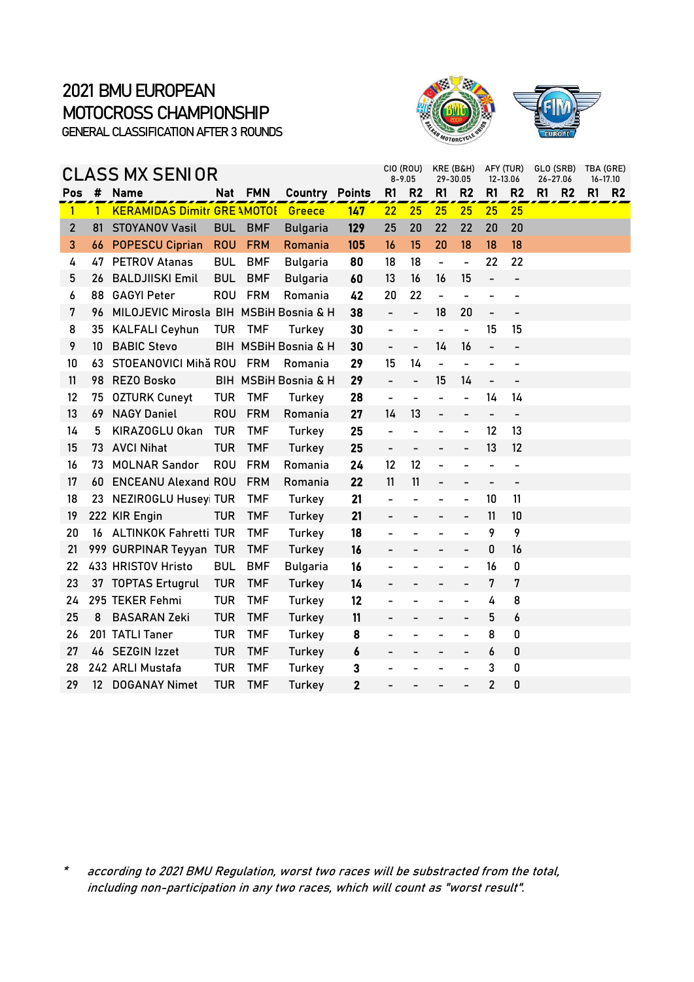



|                |                   | CLASS MX SENIOR                        |            |            |                      |               |                          | CIO (ROU)<br>$8 - 9.05$      | KRE (B&H)<br>29-30.05        |                          | 12-13.06                 | AFY (TUR)                |    | GLO (SRB)<br>26-27.06 |    | TBA (GRE)<br>16-17.10 |
|----------------|-------------------|----------------------------------------|------------|------------|----------------------|---------------|--------------------------|------------------------------|------------------------------|--------------------------|--------------------------|--------------------------|----|-----------------------|----|-----------------------|
| Pos            | #                 | <b>Name</b>                            | <b>Nat</b> | <b>FMN</b> | Country              | <b>Points</b> | R <sub>1</sub>           | R <sub>2</sub>               | R1                           | R <sub>2</sub>           | R <sub>1</sub>           | R <sub>2</sub>           | R1 | R <sub>2</sub>        | R1 | R <sub>2</sub>        |
| $\mathbf{1}$   | $\mathbf{1}$      | <b>KERAMIDAS Dimitr GRE \MOTO!</b>     |            |            | Greece               | 147           | 22                       | 25                           | 25                           | 25                       | 25                       | 25                       |    |                       |    |                       |
| $\overline{2}$ | 81                | <b>STOYANOV Vasil</b>                  | <b>BUL</b> | <b>BMF</b> | <b>Bulgaria</b>      | 129           | 25                       | 20                           | 22                           | 22                       | 20                       | 20                       |    |                       |    |                       |
| 3              | 66                | <b>POPESCU Ciprian</b>                 | <b>ROU</b> | <b>FRM</b> | Romania              | 105           | 16                       | 15                           | 20                           | 18                       | 18                       | 18                       |    |                       |    |                       |
| 4              | 47                | <b>PETROV Atanas</b>                   | <b>BUL</b> | <b>BMF</b> | <b>Bulgaria</b>      | 80            | 18                       | 18                           | $\qquad \qquad \blacksquare$ | $\overline{\phantom{0}}$ | 22                       | 22                       |    |                       |    |                       |
| 5              | 26                | <b>BALDJIISKI Emil</b>                 | <b>BUL</b> | <b>BMF</b> | <b>Bulgaria</b>      | 60            | 13                       | 16                           | 16                           | 15                       | $\overline{\phantom{0}}$ | $\overline{\phantom{a}}$ |    |                       |    |                       |
| 6              | 88                | <b>GAGYI Peter</b>                     | <b>ROU</b> | <b>FRM</b> | Romania              | 42            | 20                       | 22                           | Ξ                            | $\overline{a}$           | $\overline{a}$           |                          |    |                       |    |                       |
| 7              | 96                | MILOJEVIC Mirosla BIH MSBiH Bosnia & H |            |            |                      | 38            | $\overline{a}$           | $\overline{a}$               | 18                           | 20                       | $\overline{a}$           |                          |    |                       |    |                       |
| 8              | 35                | <b>KALFALI Ceyhun</b>                  | <b>TUR</b> | <b>TMF</b> | Turkey               | 30            | $\overline{\phantom{0}}$ | $\overline{\phantom{a}}$     | $\blacksquare$               | $\blacksquare$           | 15                       | 15                       |    |                       |    |                       |
| 9              | 10 <sup>°</sup>   | <b>BABIC Stevo</b>                     |            |            | BIH MSBIH Bosnia & H | 30            | $\blacksquare$           | $\overline{a}$               | 14                           | 16                       | $\overline{\phantom{0}}$ | $\qquad \qquad -$        |    |                       |    |                       |
| 10             | 63                | STOEANOVICI Mihă ROU FRM               |            |            | Romania              | 29            | 15                       | 14                           | $\frac{1}{2}$                |                          | $\overline{a}$           |                          |    |                       |    |                       |
| 11             | 98                | <b>REZO Bosko</b>                      |            |            | BIH MSBiH Bosnia & H | 29            | $\overline{a}$           | $\overline{a}$               | 15                           | 14                       | $\overline{a}$           | $\overline{\phantom{a}}$ |    |                       |    |                       |
| 12             | 75                | <b>OZTURK Cuneyt</b>                   | <b>TUR</b> | <b>TMF</b> | Turkey               | 28            | ÷,                       |                              |                              |                          | 14                       | 14                       |    |                       |    |                       |
| 13             | 69                | <b>NAGY Daniel</b>                     | <b>ROU</b> | <b>FRM</b> | Romania              | 27            | 14                       | 13                           | $\overline{\phantom{0}}$     | $\overline{\phantom{0}}$ | $\overline{\phantom{0}}$ | $\overline{\phantom{a}}$ |    |                       |    |                       |
| 14             | 5                 | KIRAZOGLU Okan                         | <b>TUR</b> | <b>TMF</b> | Turkey               | 25            | ÷                        | $\overline{\phantom{0}}$     |                              | ÷                        | 12                       | 13                       |    |                       |    |                       |
| 15             | 73                | <b>AVCI Nihat</b>                      | <b>TUR</b> | <b>TMF</b> | Turkey               | 25            | $\overline{\phantom{0}}$ | $\qquad \qquad \blacksquare$ | $\overline{\phantom{a}}$     | $\qquad \qquad -$        | 13                       | 12                       |    |                       |    |                       |
| 16             | 73                | <b>MOLNAR Sandor</b>                   | <b>ROU</b> | <b>FRM</b> | Romania              | 24            | 12                       | 12                           | ÷                            | L,                       | $\overline{a}$           | $\overline{\phantom{0}}$ |    |                       |    |                       |
| 17             | 60                | <b>ENCEANU Alexand ROU</b>             |            | <b>FRM</b> | Romania              | 22            | 11                       | 11                           |                              |                          | $\overline{a}$           |                          |    |                       |    |                       |
| 18             |                   | 23 NEZIROGLU Huseyi TUR                |            | TMF        | Turkey               | 21            | $\overline{\phantom{0}}$ | -                            |                              | $\overline{\phantom{0}}$ | 10                       | 11                       |    |                       |    |                       |
| 19             |                   | 222 KIR Engin                          | TUR        | <b>TMF</b> | Turkey               | 21            |                          |                              |                              |                          | 11                       | 10                       |    |                       |    |                       |
| 20             |                   | 16 ALTINKOK Fahretti TUR               |            | <b>TMF</b> | Turkey               | 18            | $\overline{\phantom{0}}$ |                              |                              | $\overline{a}$           | 9                        | 9                        |    |                       |    |                       |
| 21             |                   | 999 GURPINAR Teyyan TUR                |            | <b>TMF</b> | Turkey               | 16            |                          |                              |                              |                          | 0                        | 16                       |    |                       |    |                       |
| 22             |                   | 433 HRISTOV Hristo                     | <b>BUL</b> | <b>BMF</b> | <b>Bulgaria</b>      | 16            |                          |                              |                              |                          | 16                       | 0                        |    |                       |    |                       |
| 23             |                   | 37 TOPTAS Ertugrul                     | <b>TUR</b> | <b>TMF</b> | Turkey               | 14            |                          |                              |                              | -                        | 7                        | 7                        |    |                       |    |                       |
| 24             |                   | 295 TEKER Fehmi                        | <b>TUR</b> | <b>TMF</b> | Turkey               | 12            |                          |                              |                              | ÷                        | 4                        | 8                        |    |                       |    |                       |
| 25             | 8                 | <b>BASARAN Zeki</b>                    | <b>TUR</b> | <b>TMF</b> | Turkey               | 11            |                          | $\qquad \qquad -$            |                              | $\qquad \qquad -$        | 5                        | 6                        |    |                       |    |                       |
| 26             |                   | 201 TATLI Taner                        | <b>TUR</b> | <b>TMF</b> | Turkey               | 8             |                          |                              |                              | ÷                        | 8                        | 0                        |    |                       |    |                       |
| 27             |                   | 46 SEZGIN Izzet                        | <b>TUR</b> | <b>TMF</b> | <b>Turkey</b>        | 6             |                          |                              |                              |                          | 6                        | 0                        |    |                       |    |                       |
| 28             |                   | 242 ARLI Mustafa                       | <b>TUR</b> | <b>TMF</b> | Turkey               | 3             |                          |                              |                              | $\overline{\phantom{0}}$ | 3                        | 0                        |    |                       |    |                       |
| 29             | $12 \overline{ }$ | <b>DOGANAY Nimet</b>                   | TUR        | <b>TMF</b> | Turkey               | $\mathbf{2}$  |                          |                              |                              |                          | $\overline{2}$           | 0                        |    |                       |    |                       |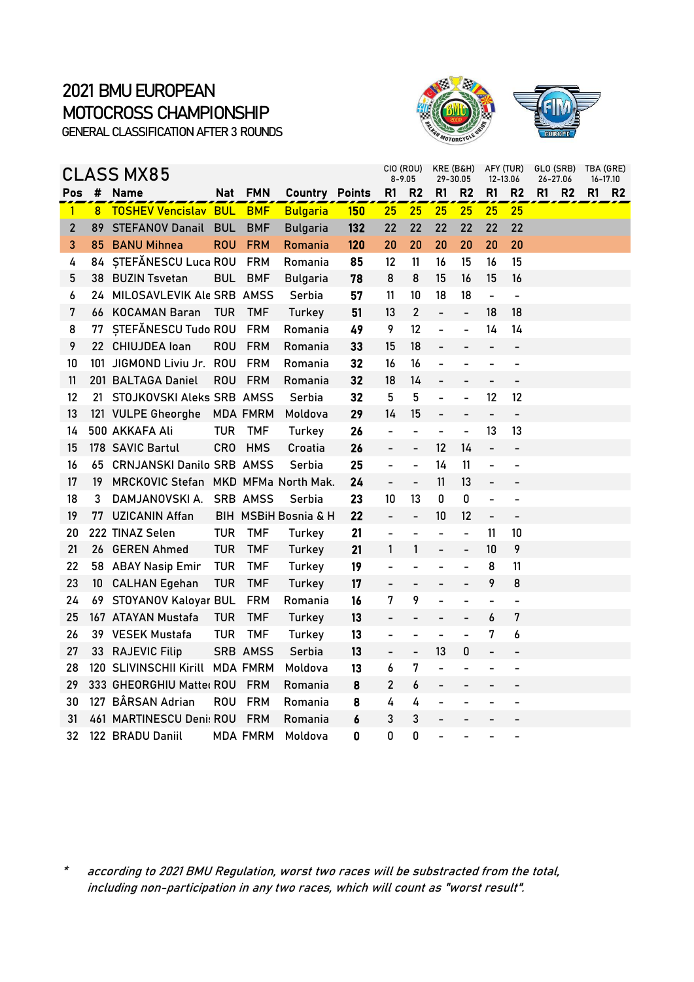



|                |                | <b>CLASS MX85</b>                   |            |                 |                       |            |                          | CIO (ROU)<br>$8 - 9.05$      | KRE (B&H)<br>29-30.05    |                          | 12-13.06                 | AFY (TUR)                | GLO (SRB)<br>26-27.06 |                |    | TBA (GRE)<br>$16 - 17.10$ |
|----------------|----------------|-------------------------------------|------------|-----------------|-----------------------|------------|--------------------------|------------------------------|--------------------------|--------------------------|--------------------------|--------------------------|-----------------------|----------------|----|---------------------------|
| Pos            | $\pmb{\sharp}$ | <b>Name</b>                         | Nat        | <b>FMN</b>      | <b>Country Points</b> |            | R1                       | R2                           | R <sub>1</sub>           | R <sub>2</sub>           | R <sub>1</sub>           | R2                       | R1                    | R <sub>2</sub> | R1 | R <sub>2</sub>            |
| $\mathbf{1}$   | 8              | <b>TOSHEV Vencislav BUL</b>         |            | <b>BMF</b>      | <b>Bulgaria</b>       | <b>150</b> | 25                       | 25                           | 25                       | 25                       | 25                       | 25                       |                       |                |    |                           |
| $\overline{2}$ | 89             | <b>STEFANOV Danail</b>              | <b>BUL</b> | <b>BMF</b>      | <b>Bulgaria</b>       | 132        | 22                       | 22                           | 22                       | 22                       | 22                       | 22                       |                       |                |    |                           |
| 3              | 85             | <b>BANU Mihnea</b>                  | <b>ROU</b> | <b>FRM</b>      | Romania               | 120        | 20                       | 20                           | 20                       | 20                       | 20                       | 20                       |                       |                |    |                           |
| 4              | 84             | STEFĂNESCU Luca ROU                 |            | <b>FRM</b>      | Romania               | 85         | 12                       | 11                           | 16                       | 15                       | 16                       | 15                       |                       |                |    |                           |
| 5              | 38             | <b>BUZIN Tsvetan</b>                | <b>BUL</b> | <b>BMF</b>      | <b>Bulgaria</b>       | 78         | 8                        | 8                            | 15                       | 16                       | 15                       | 16                       |                       |                |    |                           |
| 6              | 24             | MILOSAVLEVIK Ale SRB AMSS           |            |                 | Serbia                | 57         | 11                       | 10                           | 18                       | 18                       | $\overline{a}$           | $\overline{\phantom{0}}$ |                       |                |    |                           |
| 7              | 66             | <b>KOCAMAN Baran</b>                | <b>TUR</b> | <b>TMF</b>      | Turkey                | 51         | 13                       | $\overline{2}$               | $\overline{\phantom{0}}$ | $\overline{\phantom{0}}$ | 18                       | 18                       |                       |                |    |                           |
| 8              | 77             | STEFĂNESCU Tudo ROU                 |            | <b>FRM</b>      | Romania               | 49         | 9                        | 12                           | $\overline{\phantom{0}}$ | $\overline{\phantom{0}}$ | 14                       | 14                       |                       |                |    |                           |
| 9              | 22.            | <b>CHIUJDEA</b> loan                | <b>ROU</b> | <b>FRM</b>      | Romania               | 33         | 15                       | 18                           | $\overline{a}$           |                          | -                        | $\overline{\phantom{0}}$ |                       |                |    |                           |
| 10             |                | 101 JIGMOND Liviu Jr. ROU           |            | <b>FRM</b>      | Romania               | 32         | 16                       | 16                           |                          |                          |                          |                          |                       |                |    |                           |
| 11             |                | 201 BALTAGA Daniel                  | <b>ROU</b> | <b>FRM</b>      | Romania               | 32         | 18                       | 14                           | -                        |                          | -                        | $\overline{\phantom{0}}$ |                       |                |    |                           |
| 12             | 21             | STOJKOVSKI Aleks SRB AMSS           |            |                 | Serbia                | 32         | 5                        | 5                            | $\overline{a}$           | $\overline{a}$           | 12                       | 12                       |                       |                |    |                           |
| 13             |                | 121 VULPE Gheorghe                  |            | <b>MDA FMRM</b> | Moldova               | 29         | 14                       | 15                           | $\overline{\phantom{0}}$ | $\overline{\phantom{0}}$ | $\overline{\phantom{a}}$ | $\qquad \qquad -$        |                       |                |    |                           |
| 14             |                | 500 AKKAFA Ali                      | <b>TUR</b> | <b>TMF</b>      | Turkey                | 26         | $\overline{\phantom{0}}$ | $\overline{a}$               | $\overline{\phantom{0}}$ | $\overline{\phantom{0}}$ | 13                       | 13                       |                       |                |    |                           |
| 15             |                | 178 SAVIC Bartul                    | <b>CRO</b> | <b>HMS</b>      | Croatia               | 26         | $\overline{a}$           | $\overline{\phantom{0}}$     | 12                       | 14                       | $\frac{1}{2}$            | $\overline{\phantom{0}}$ |                       |                |    |                           |
| 16             |                | 65 CRNJANSKI Danilo SRB AMSS        |            |                 | Serbia                | 25         | $\overline{a}$           | $\overline{a}$               | 14                       | 11                       | -                        |                          |                       |                |    |                           |
| 17             | 19             | MRCKOVIC Stefan MKD MFMa North Mak. |            |                 |                       | 24         |                          | $\frac{1}{2}$                | 11                       | 13                       | -                        |                          |                       |                |    |                           |
| 18             | 3              | DAMJANOVSKI A.                      |            | SRB AMSS        | Serbia                | 23         | 10                       | 13                           | 0                        | 0                        | $\overline{a}$           | $\overline{\phantom{0}}$ |                       |                |    |                           |
| 19             | 77             | <b>UZICANIN Affan</b>               |            |                 | BIH MSBiH Bosnia & H  | 22         | $\overline{a}$           | $\overline{\phantom{a}}$     | 10                       | 12                       | $\overline{\phantom{0}}$ | $\overline{\phantom{0}}$ |                       |                |    |                           |
| 20             |                | 222 TINAZ Selen                     | <b>TUR</b> | <b>TMF</b>      | Turkey                | 21         |                          |                              | L                        | $\overline{a}$           | 11                       | 10                       |                       |                |    |                           |
| 21             | 26             | <b>GEREN Ahmed</b>                  | <b>TUR</b> | <b>TMF</b>      | Turkey                | 21         | 1                        | $\mathbf{1}$                 | $\overline{a}$           | $\overline{a}$           | 10                       | 9                        |                       |                |    |                           |
| 22             |                | 58 ABAY Nasip Emir                  | <b>TUR</b> | <b>TMF</b>      | Turkey                | 19         |                          |                              |                          | L,                       | 8                        | 11                       |                       |                |    |                           |
| 23             | 10             | <b>CALHAN Egehan</b>                | <b>TUR</b> | <b>TMF</b>      | Turkey                | 17         |                          | $\overline{a}$               | -                        | $\overline{\phantom{0}}$ | 9                        | 8                        |                       |                |    |                           |
| 24             | 69.            | STOYANOV Kaloyar BUL                |            | <b>FRM</b>      | Romania               | 16         | 7                        | 9                            | ÷,                       | $\overline{\phantom{0}}$ | $\blacksquare$           | $\blacksquare$           |                       |                |    |                           |
| 25             |                | 167 ATAYAN Mustafa                  | <b>TUR</b> | <b>TMF</b>      | Turkey                | 13         |                          |                              |                          | $\overline{\phantom{0}}$ | 6                        | 7                        |                       |                |    |                           |
| 26             |                | 39 VESEK Mustafa                    | <b>TUR</b> | <b>TMF</b>      | Turkey                | 13         | $\overline{a}$           | $\qquad \qquad \blacksquare$ | -                        | $\overline{a}$           | 7                        | 6                        |                       |                |    |                           |
| 27             |                | 33 RAJEVIC Filip                    |            | <b>SRB AMSS</b> | Serbia                | 13         | $\overline{a}$           | $\blacksquare$               | 13                       | 0                        | $\overline{a}$           |                          |                       |                |    |                           |
| 28             |                | 120 SLIVINSCHII Kirill              |            | <b>MDA FMRM</b> | Moldova               | 13         | 6                        | 7                            | $\overline{a}$           |                          |                          |                          |                       |                |    |                           |
| 29             |                | 333 GHEORGHIU Matter ROU            |            | <b>FRM</b>      | Romania               | 8          | $\overline{c}$           | 6                            | -                        |                          |                          |                          |                       |                |    |                           |
| 30             |                | 127 BÂRSAN Adrian                   | ROU        | <b>FRM</b>      | Romania               | 8          | 4                        | 4                            | -                        | ۳                        |                          | $\overline{\phantom{0}}$ |                       |                |    |                           |
| 31             |                | 461 MARTINESCU Deni: ROU            |            | <b>FRM</b>      | Romania               | 6          | 3                        | 3                            | -                        |                          |                          |                          |                       |                |    |                           |
| 32             |                | 122 BRADU Daniil                    |            | MDA FMRM        | Moldova               | 0          | 0                        | 0                            |                          |                          |                          |                          |                       |                |    |                           |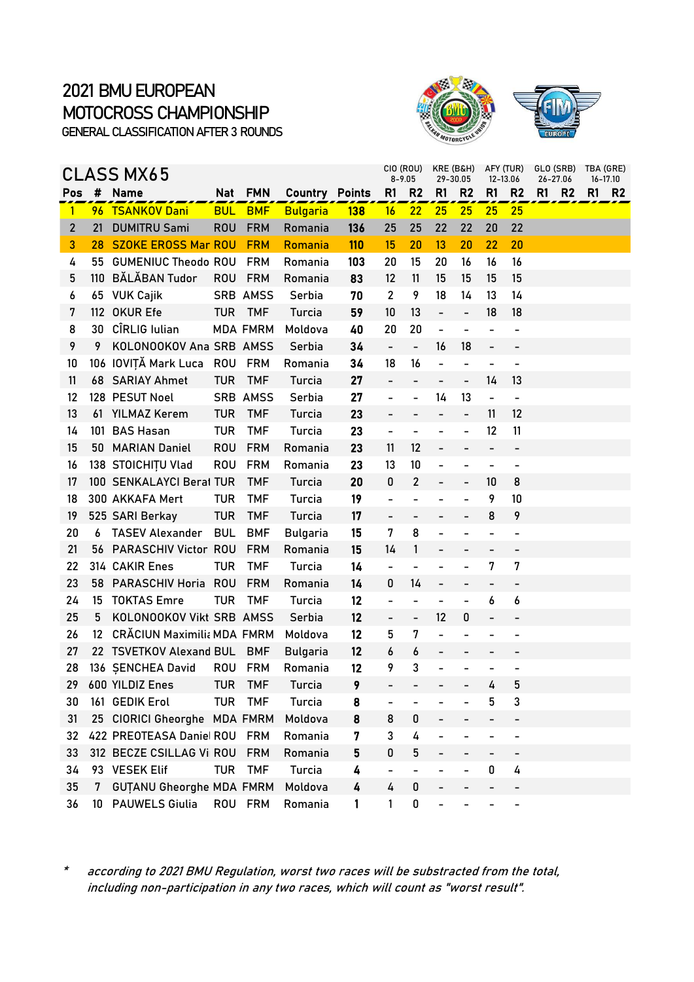



|                |      | CLASS MX65                      |            |                 |                       |            |                              | CIO (ROU)<br>$8 - 9.05$      | KRE (B&H)<br>29-30.05        |                              |                          | AFY (TUR)<br>12-13.06        | GLO (SRB)<br>26-27.06 | TBA (GRE)<br>16-17.10 |                |
|----------------|------|---------------------------------|------------|-----------------|-----------------------|------------|------------------------------|------------------------------|------------------------------|------------------------------|--------------------------|------------------------------|-----------------------|-----------------------|----------------|
| Pos            |      | # Name                          |            | Nat FMN         | <b>Country Points</b> |            | R <sub>1</sub>               | R <sub>2</sub>               | R1                           | R <sub>2</sub>               | R1                       | R <sub>2</sub>               | R1<br><b>R2</b>       | R1                    | R <sub>2</sub> |
| $\mathbf{1}$   |      | 96 TSANKOV Dani                 | <b>BUL</b> | <b>BMF</b>      | <b>Bulgaria</b>       | <b>138</b> | 16                           | 22                           | 25                           | 25                           | 25                       | 25                           |                       |                       |                |
| $\overline{2}$ | 21   | <b>DUMITRU Sami</b>             | <b>ROU</b> | <b>FRM</b>      | Romania               | 136        | 25                           | 25                           | 22                           | 22                           | 20                       | 22                           |                       |                       |                |
| 3              | 28   | <b>SZOKE EROSS Mar ROU</b>      |            | <b>FRM</b>      | Romania               | <b>110</b> | 15                           | 20                           | 13                           | 20                           | 22                       | 20                           |                       |                       |                |
| 4              | 55   | <b>GUMENIUC Theodo ROU</b>      |            | <b>FRM</b>      | Romania               | 103        | 20                           | 15                           | 20                           | 16                           | 16                       | 16                           |                       |                       |                |
| 5              |      | 110 BĂLĂBAN Tudor               | <b>ROU</b> | <b>FRM</b>      | Romania               | 83         | $12 \,$                      | 11                           | 15                           | 15                           | 15                       | 15                           |                       |                       |                |
| 6              |      | 65 VUK Cajik                    |            | SRB AMSS        | Serbia                | 70         | $\overline{2}$               | 9                            | 18                           | 14                           | 13                       | 14                           |                       |                       |                |
| 7              |      | 112 OKUR Efe                    | <b>TUR</b> | <b>TMF</b>      | Turcia                | 59         | 10                           | 13                           | $\overline{\phantom{0}}$     | $\overline{\phantom{0}}$     | 18                       | 18                           |                       |                       |                |
| 8              | 30   | CÎRLIG Iulian                   |            | <b>MDA FMRM</b> | Moldova               | 40         | 20                           | 20                           | $\overline{\phantom{a}}$     | $\overline{\phantom{0}}$     | $\blacksquare$           | $\overline{\phantom{a}}$     |                       |                       |                |
| 9              | 9    | KOLONOOKOV Ana SRB AMSS         |            |                 | Serbia                | 34         | $\frac{1}{2}$                | $\blacksquare$               | 16                           | 18                           | $\overline{\phantom{0}}$ |                              |                       |                       |                |
| 10             |      | 106 IOVIȚĂ Mark Luca ROU        |            | <b>FRM</b>      | Romania               | 34         | 18                           | 16                           | $\qquad \qquad \blacksquare$ | $\qquad \qquad \blacksquare$ | $\overline{\phantom{0}}$ | $\overline{\phantom{a}}$     |                       |                       |                |
| 11             |      | 68 SARIAY Ahmet                 | <b>TUR</b> | <b>TMF</b>      | Turcia                | 27         |                              |                              | $\overline{\phantom{a}}$     |                              | 14                       | 13                           |                       |                       |                |
| 12             |      | 128 PESUT Noel                  |            | SRB AMSS        | Serbia                | 27         | $\overline{\phantom{0}}$     | $\overline{a}$               | 14                           | 13                           | $\overline{\phantom{0}}$ | $\blacksquare$               |                       |                       |                |
| 13             |      | 61 YILMAZ Kerem                 | <b>TUR</b> | <b>TMF</b>      | Turcia                | 23         | $\overline{\phantom{0}}$     | $\overline{\phantom{0}}$     | $\qquad \qquad -$            | $\overline{a}$               | 11                       | 12                           |                       |                       |                |
| 14             |      | 101 BAS Hasan                   | <b>TUR</b> | <b>TMF</b>      | Turcia                | 23         | -                            |                              |                              |                              | 12                       | 11                           |                       |                       |                |
| 15             | 50 - | <b>MARIAN Daniel</b>            | <b>ROU</b> | <b>FRM</b>      | Romania               | 23         | 11                           | 12                           | $\overline{\phantom{0}}$     |                              | $\overline{\phantom{0}}$ | $\overline{\phantom{a}}$     |                       |                       |                |
| 16             |      | 138 STOICHITU Vlad              | <b>ROU</b> | <b>FRM</b>      | Romania               | 23         | 13                           | 10                           |                              |                              | $\overline{\phantom{0}}$ | $\qquad \qquad \blacksquare$ |                       |                       |                |
| 17             |      | 100 SENKALAYCI Berat TUR        |            | <b>TMF</b>      | Turcia                | 20         | 0                            | $\overline{2}$               | $\overline{\phantom{0}}$     | $\qquad \qquad -$            | 10                       | 8                            |                       |                       |                |
| 18             |      | 300 AKKAFA Mert                 | <b>TUR</b> | <b>TMF</b>      | Turcia                | 19         | $\overline{\phantom{0}}$     |                              |                              |                              | 9                        | 10                           |                       |                       |                |
| 19             |      | 525 SARI Berkay                 | <b>TUR</b> | <b>TMF</b>      | Turcia                | 17         | $\overline{\phantom{0}}$     | $\blacksquare$               | $\overline{\phantom{0}}$     |                              | 8                        | 9                            |                       |                       |                |
| 20             | 6    | <b>TASEV Alexander</b>          | <b>BUL</b> | <b>BMF</b>      | <b>Bulgaria</b>       | 15         | 7                            | 8                            | $\overline{\phantom{0}}$     | $\qquad \qquad \blacksquare$ | $\overline{a}$           |                              |                       |                       |                |
| 21             |      | 56 PARASCHIV Victor ROU         |            | <b>FRM</b>      | Romania               | 15         | 14                           | 1                            | $\overline{\phantom{0}}$     |                              |                          |                              |                       |                       |                |
| 22             |      | 314 CAKIR Enes                  | <b>TUR</b> | <b>TMF</b>      | Turcia                | 14         | $\qquad \qquad \blacksquare$ | $\qquad \qquad \blacksquare$ |                              | $\overline{\phantom{0}}$     | 7                        | 7                            |                       |                       |                |
| 23             |      | 58 PARASCHIV Horia ROU          |            | <b>FRM</b>      | Romania               | 14         | 0                            | 14                           | $\overline{\phantom{0}}$     |                              |                          |                              |                       |                       |                |
| 24             | 15   | <b>TOKTAS Emre</b>              | <b>TUR</b> | <b>TMF</b>      | Turcia                | 12         | -                            | $\qquad \qquad \blacksquare$ | $\overline{\phantom{a}}$     | $\blacksquare$               | 6                        | 6                            |                       |                       |                |
| 25             | 5.   | KOLONOOKOV Vikt SRB AMSS        |            |                 | Serbia                | 12         | $\overline{\phantom{0}}$     | $\frac{1}{2}$                | 12                           | 0                            | $\overline{a}$           | $\overline{\phantom{0}}$     |                       |                       |                |
| 26             | 12   | CRĂCIUN Maximilia MDA FMRM      |            |                 | Moldova               | 12         | 5                            | 7                            | $\overline{\phantom{0}}$     |                              |                          |                              |                       |                       |                |
| 27             |      | 22 TSVETKOV Alexand BUL         |            | <b>BMF</b>      | <b>Bulgaria</b>       | 12         | 6                            | 6                            | $\overline{\phantom{0}}$     |                              |                          |                              |                       |                       |                |
| 28             |      | 136 SENCHEA David               | ROU        | <b>FRM</b>      | Romania               | 12         | 9                            | 3                            |                              |                              |                          |                              |                       |                       |                |
| 29.            |      | 600 YILDIZ Enes                 | TUR        | <b>TMF</b>      | Turcia                | 9          | -                            | $\overline{\phantom{a}}$     | $-$                          |                              | 4                        | 5                            |                       |                       |                |
| 30             |      | 161 GEDIK Erol                  | <b>TUR</b> | <b>TMF</b>      | Turcia                | 8          |                              |                              |                              |                              | 5                        | 3                            |                       |                       |                |
| 31             | 25   | CIORICI Gheorghe MDA FMRM       |            |                 | Moldova               | 8          | 8                            | 0                            |                              |                              |                          |                              |                       |                       |                |
| 32             |      | 422 PREOTEASA Daniel ROU        |            | <b>FRM</b>      | Romania               | 7          | 3                            | 4                            |                              |                              |                          |                              |                       |                       |                |
| 33             |      | 312 BECZE CSILLAG Vi ROU        |            | <b>FRM</b>      | Romania               | 5          | 0                            | 5                            |                              |                              |                          |                              |                       |                       |                |
| 34             |      | 93 VESEK Elif                   | <b>TUR</b> | <b>TMF</b>      | Turcia                | 4          | -                            | -                            |                              |                              | 0                        | 4                            |                       |                       |                |
| 35             | 7    | <b>GUTANU Gheorghe MDA FMRM</b> |            |                 | Moldova               | 4          | 4                            | 0                            |                              |                              |                          |                              |                       |                       |                |
| 36             | 10   | <b>PAUWELS Giulia</b>           | ROU        | <b>FRM</b>      | Romania               | 1          | 1                            | 0                            | $\overline{\phantom{0}}$     |                              |                          | -                            |                       |                       |                |